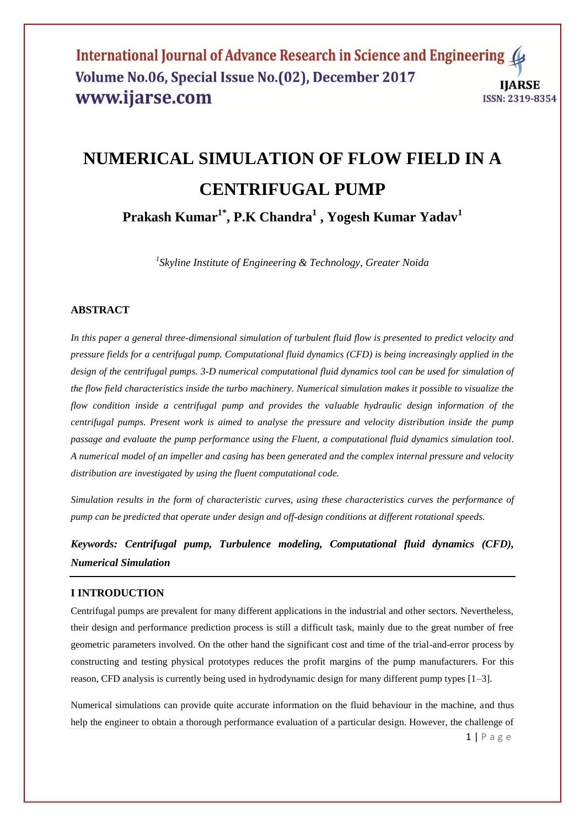# **NUMERICAL SIMULATION OF FLOW FIELD IN A CENTRIFUGAL PUMP**

**Prakash Kumar1\*, P.K Chandra<sup>1</sup> , Yogesh Kumar Yadav<sup>1</sup>**

*1 Skyline Institute of Engineering & Technology, Greater Noida*

# **ABSTRACT**

*In this paper a general three-dimensional simulation of turbulent fluid flow is presented to predict velocity and pressure fields for a centrifugal pump. Computational fluid dynamics (CFD) is being increasingly applied in the*  design of the centrifugal pumps, 3-D numerical computational fluid dynamics tool can be used for simulation of *the flow field characteristics inside the turbo machinery. Numerical simulation makes it possible to visualize the flow condition inside a centrifugal pump and provides the valuable hydraulic design information of the centrifugal pumps. Present work is aimed to analyse the pressure and velocity distribution inside the pump passage and evaluate the pump performance using the Fluent, a computational fluid dynamics simulation tool. A numerical model of an impeller and casing has been generated and the complex internal pressure and velocity distribution are investigated by using the fluent computational code.* 

*Simulation results in the form of characteristic curves, using these characteristics curves the performance of pump can be predicted that operate under design and off-design conditions at different rotational speeds.*

*Keywords: Centrifugal pump, Turbulence modeling, Computational fluid dynamics (CFD), Numerical Simulation*

### **I INTRODUCTION**

Centrifugal pumps are prevalent for many different applications in the industrial and other sectors. Nevertheless, their design and performance prediction process is still a difficult task, mainly due to the great number of free geometric parameters involved. On the other hand the significant cost and time of the trial-and-error process by constructing and testing physical prototypes reduces the profit margins of the pump manufacturers. For this reason, CFD analysis is currently being used in hydrodynamic design for many different pump types [1–3].

Numerical simulations can provide quite accurate information on the fluid behaviour in the machine, and thus help the engineer to obtain a thorough performance evaluation of a particular design. However, the challenge of

 $1 | P$  a g e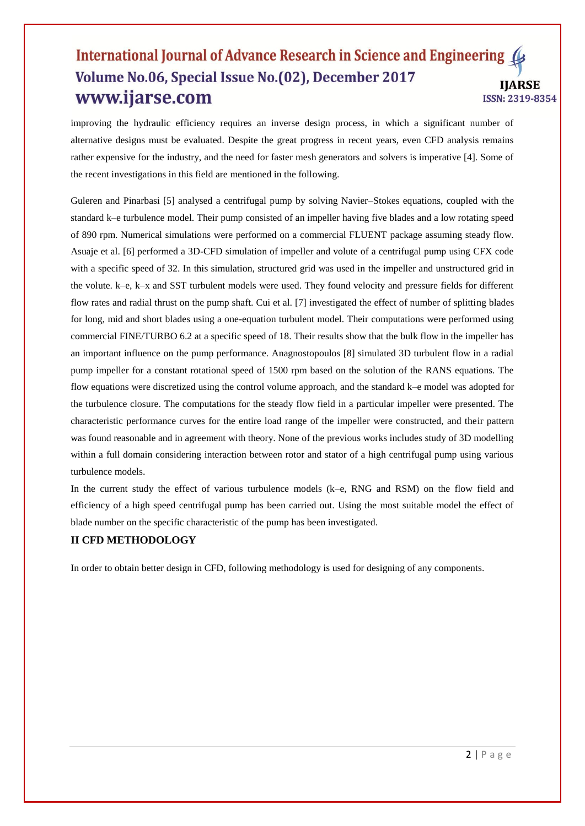improving the hydraulic efficiency requires an inverse design process, in which a significant number of alternative designs must be evaluated. Despite the great progress in recent years, even CFD analysis remains rather expensive for the industry, and the need for faster mesh generators and solvers is imperative [4]. Some of the recent investigations in this field are mentioned in the following.

Guleren and Pinarbasi [5] analysed a centrifugal pump by solving Navier–Stokes equations, coupled with the standard k–e turbulence model. Their pump consisted of an impeller having five blades and a low rotating speed of 890 rpm. Numerical simulations were performed on a commercial FLUENT package assuming steady flow. Asuaje et al. [6] performed a 3D-CFD simulation of impeller and volute of a centrifugal pump using CFX code with a specific speed of 32. In this simulation, structured grid was used in the impeller and unstructured grid in the volute. k–e, k–x and SST turbulent models were used. They found velocity and pressure fields for different flow rates and radial thrust on the pump shaft. Cui et al. [7] investigated the effect of number of splitting blades for long, mid and short blades using a one-equation turbulent model. Their computations were performed using commercial FINE/TURBO 6.2 at a specific speed of 18. Their results show that the bulk flow in the impeller has an important influence on the pump performance. Anagnostopoulos [8] simulated 3D turbulent flow in a radial pump impeller for a constant rotational speed of 1500 rpm based on the solution of the RANS equations. The flow equations were discretized using the control volume approach, and the standard k–e model was adopted for the turbulence closure. The computations for the steady flow field in a particular impeller were presented. The characteristic performance curves for the entire load range of the impeller were constructed, and their pattern was found reasonable and in agreement with theory. None of the previous works includes study of 3D modelling within a full domain considering interaction between rotor and stator of a high centrifugal pump using various turbulence models.

In the current study the effect of various turbulence models (k–e, RNG and RSM) on the flow field and efficiency of a high speed centrifugal pump has been carried out. Using the most suitable model the effect of blade number on the specific characteristic of the pump has been investigated.

### **II CFD METHODOLOGY**

In order to obtain better design in CFD, following methodology is used for designing of any components.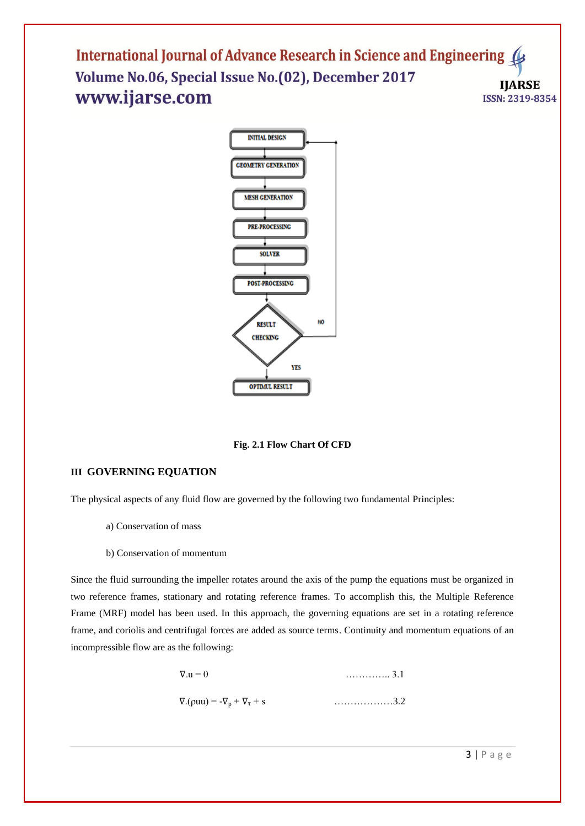

**Fig. 2.1 Flow Chart Of CFD**

# **III GOVERNING EQUATION**

The physical aspects of any fluid flow are governed by the following two fundamental Principles:

- a) Conservation of mass
- b) Conservation of momentum

Since the fluid surrounding the impeller rotates around the axis of the pump the equations must be organized in two reference frames, stationary and rotating reference frames. To accomplish this, the Multiple Reference Frame (MRF) model has been used. In this approach, the governing equations are set in a rotating reference frame, and coriolis and centrifugal forces are added as source terms. Continuity and momentum equations of an incompressible flow are as the following:

$$
\nabla \cdot \mathbf{u} = 0
$$
............ 3.1  

$$
\nabla \cdot (\rho \mathbf{u} \mathbf{u}) = -\nabla_{\mathbf{p}} + \nabla_{\mathbf{r}} + \mathbf{s}
$$
............ 3.2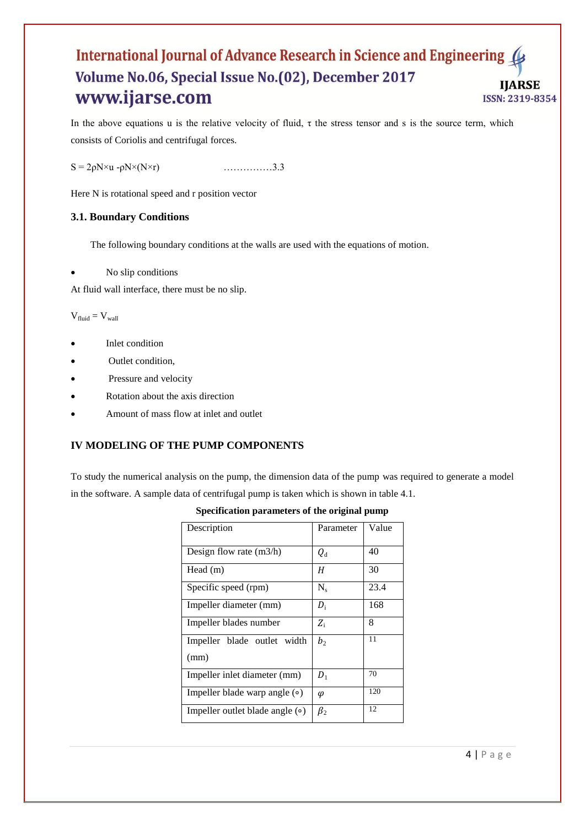In the above equations u is the relative velocity of fluid,  $\tau$  the stress tensor and s is the source term, which consists of Coriolis and centrifugal forces.

 $S = 2\rho N \times u - \rho N \times (N \times r)$  ………………3.3

Here N is rotational speed and r position vector

### **3.1. Boundary Conditions**

The following boundary conditions at the walls are used with the equations of motion.

No slip conditions

At fluid wall interface, there must be no slip.

 $V_{fluid} = V_{wall}$ 

- Inlet condition
- Outlet condition,
- Pressure and velocity
- Rotation about the axis direction
- Amount of mass flow at inlet and outlet

# **IV MODELING OF THE PUMP COMPONENTS**

To study the numerical analysis on the pump, the dimension data of the pump was required to generate a model in the software. A sample data of centrifugal pump is taken which is shown in table 4.1.

| Description                           | Parameter      | Value |
|---------------------------------------|----------------|-------|
| Design flow rate $(m3/h)$             | $Q_{\rm d}$    | 40    |
| Head (m)                              | Η              | 30    |
| Specific speed (rpm)                  | $N_{s}$        | 23.4  |
| Impeller diameter (mm)                | $D_i$          | 168   |
| Impeller blades number                | $Z_i$          | 8     |
| Impeller blade outlet width           | b <sub>2</sub> | 11    |
| (mm)                                  |                |       |
| Impeller inlet diameter (mm)          | $D_1$          | 70    |
| Impeller blade warp angle $\circ$ )   | φ              | 120   |
| Impeller outlet blade angle $(\circ)$ | $\beta_2$      | 12    |

**Specification parameters of the original pump**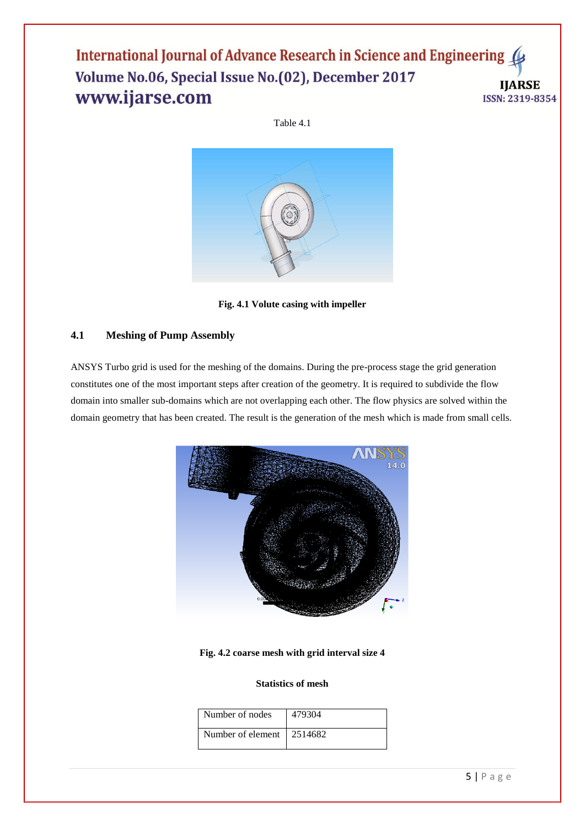Table 4.1



**Fig. 4.1 Volute casing with impeller**

# **4.1 Meshing of Pump Assembly**

ANSYS Turbo grid is used for the meshing of the domains. During the pre-process stage the grid generation constitutes one of the most important steps after creation of the geometry. It is required to subdivide the flow domain into smaller sub-domains which are not overlapping each other. The flow physics are solved within the domain geometry that has been created. The result is the generation of the mesh which is made from small cells.



### **Fig. 4.2 coarse mesh with grid interval size 4**

### **Statistics of mesh**

| Number of nodes             | 479304 |
|-----------------------------|--------|
| Number of element   2514682 |        |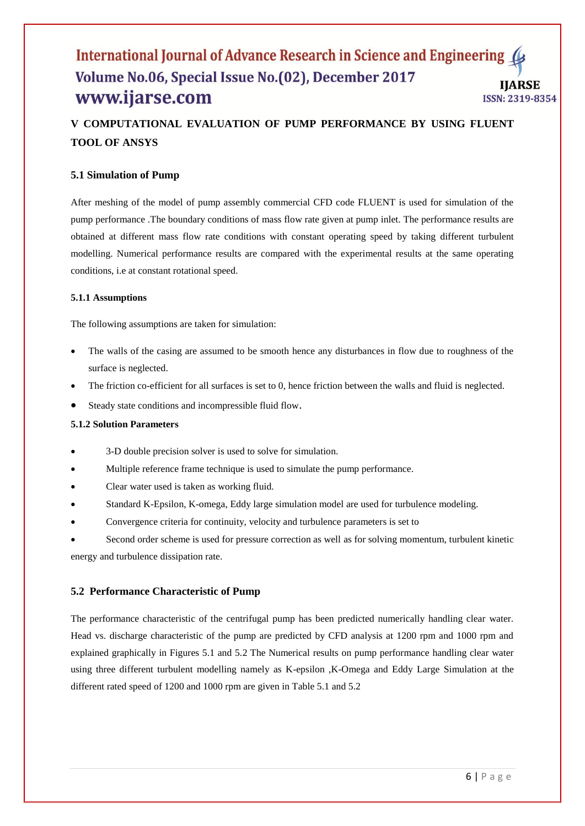# **V COMPUTATIONAL EVALUATION OF PUMP PERFORMANCE BY USING FLUENT TOOL OF ANSYS**

### **5.1 Simulation of Pump**

After meshing of the model of pump assembly commercial CFD code FLUENT is used for simulation of the pump performance .The boundary conditions of mass flow rate given at pump inlet. The performance results are obtained at different mass flow rate conditions with constant operating speed by taking different turbulent modelling. Numerical performance results are compared with the experimental results at the same operating conditions, i.e at constant rotational speed.

### **5.1.1 Assumptions**

The following assumptions are taken for simulation:

- The walls of the casing are assumed to be smooth hence any disturbances in flow due to roughness of the surface is neglected.
- The friction co-efficient for all surfaces is set to 0, hence friction between the walls and fluid is neglected.
- Steady state conditions and incompressible fluid flow.

### **5.1.2 Solution Parameters**

- 3-D double precision solver is used to solve for simulation.
- Multiple reference frame technique is used to simulate the pump performance.
- Clear water used is taken as working fluid.
- Standard K-Epsilon, K-omega, Eddy large simulation model are used for turbulence modeling.
- Convergence criteria for continuity, velocity and turbulence parameters is set to

 Second order scheme is used for pressure correction as well as for solving momentum, turbulent kinetic energy and turbulence dissipation rate.

### **5.2 Performance Characteristic of Pump**

The performance characteristic of the centrifugal pump has been predicted numerically handling clear water. Head vs. discharge characteristic of the pump are predicted by CFD analysis at 1200 rpm and 1000 rpm and explained graphically in Figures 5.1 and 5.2 The Numerical results on pump performance handling clear water using three different turbulent modelling namely as K-epsilon ,K-Omega and Eddy Large Simulation at the different rated speed of 1200 and 1000 rpm are given in Table 5.1 and 5.2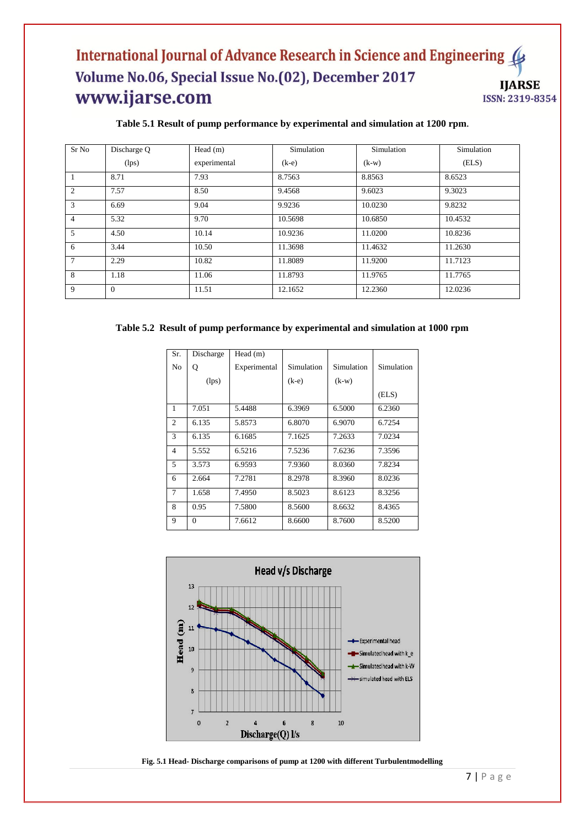### **Table 5.1 Result of pump performance by experimental and simulation at 1200 rpm.**

| Sr No          | Discharge Q | Head $(m)$   | Simulation | Simulation | Simulation |
|----------------|-------------|--------------|------------|------------|------------|
|                | (lps)       | experimental | $(k-e)$    | $(k-w)$    | (ELS)      |
| $\overline{1}$ | 8.71        | 7.93         | 8.7563     | 8.8563     | 8.6523     |
| 2              | 7.57        | 8.50         | 9.4568     | 9.6023     | 9.3023     |
| 3              | 6.69        | 9.04         | 9.9236     | 10.0230    | 9.8232     |
| $\overline{4}$ | 5.32        | 9.70         | 10.5698    | 10.6850    | 10.4532    |
| 5              | 4.50        | 10.14        | 10.9236    | 11.0200    | 10.8236    |
| 6              | 3.44        | 10.50        | 11.3698    | 11.4632    | 11.2630    |
| $\tau$         | 2.29        | 10.82        | 11.8089    | 11.9200    | 11.7123    |
| 8              | 1.18        | 11.06        | 11.8793    | 11.9765    | 11.7765    |
| 9              | $\theta$    | 11.51        | 12.1652    | 12.2360    | 12.0236    |

### **Table 5.2 Result of pump performance by experimental and simulation at 1000 rpm**

| Sr.            | Discharge | Head (m)     |            |            |            |
|----------------|-----------|--------------|------------|------------|------------|
| No             | Q         | Experimental | Simulation | Simulation | Simulation |
|                | (lps)     |              | $(k-e)$    | $(k-w)$    |            |
|                |           |              |            |            | (ELS)      |
| $\mathbf{1}$   | 7.051     | 5.4488       | 6.3969     | 6.5000     | 6.2360     |
| 2              | 6.135     | 5.8573       | 6.8070     | 6.9070     | 6.7254     |
| 3              | 6.135     | 6.1685       | 7.1625     | 7.2633     | 7.0234     |
| $\overline{4}$ | 5.552     | 6.5216       | 7.5236     | 7.6236     | 7.3596     |
| 5              | 3.573     | 6.9593       | 7.9360     | 8.0360     | 7.8234     |
| 6              | 2.664     | 7.2781       | 8.2978     | 8.3960     | 8.0236     |
| $\tau$         | 1.658     | 7.4950       | 8.5023     | 8.6123     | 8.3256     |
| 8              | 0.95      | 7.5800       | 8.5600     | 8.6632     | 8.4365     |
| 9              | $\theta$  | 7.6612       | 8.6600     | 8.7600     | 8.5200     |



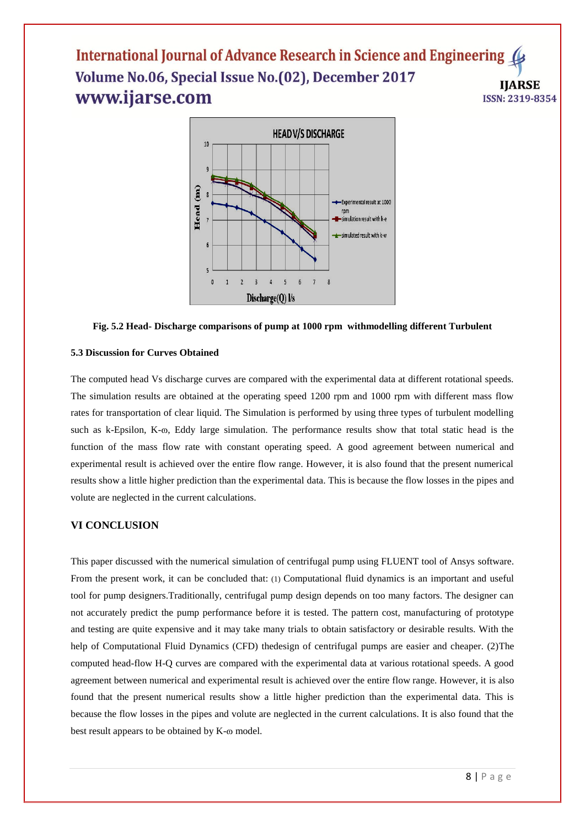

### **Fig. 5.2 Head- Discharge comparisons of pump at 1000 rpm withmodelling different Turbulent**

### **5.3 Discussion for Curves Obtained**

The computed head Vs discharge curves are compared with the experimental data at different rotational speeds. The simulation results are obtained at the operating speed 1200 rpm and 1000 rpm with different mass flow rates for transportation of clear liquid. The Simulation is performed by using three types of turbulent modelling such as k-Epsilon, K- $\omega$ , Eddy large simulation. The performance results show that total static head is the function of the mass flow rate with constant operating speed. A good agreement between numerical and experimental result is achieved over the entire flow range. However, it is also found that the present numerical results show a little higher prediction than the experimental data. This is because the flow losses in the pipes and volute are neglected in the current calculations.

### **VI CONCLUSION**

This paper discussed with the numerical simulation of centrifugal pump using FLUENT tool of Ansys software. From the present work, it can be concluded that: (1) Computational fluid dynamics is an important and useful tool for pump designers.Traditionally, centrifugal pump design depends on too many factors. The designer can not accurately predict the pump performance before it is tested. The pattern cost, manufacturing of prototype and testing are quite expensive and it may take many trials to obtain satisfactory or desirable results. With the help of Computational Fluid Dynamics (CFD) thedesign of centrifugal pumps are easier and cheaper. (2)The computed head-flow H-Q curves are compared with the experimental data at various rotational speeds. A good agreement between numerical and experimental result is achieved over the entire flow range. However, it is also found that the present numerical results show a little higher prediction than the experimental data. This is because the flow losses in the pipes and volute are neglected in the current calculations. It is also found that the best result appears to be obtained by  $K$ - $\omega$  model.